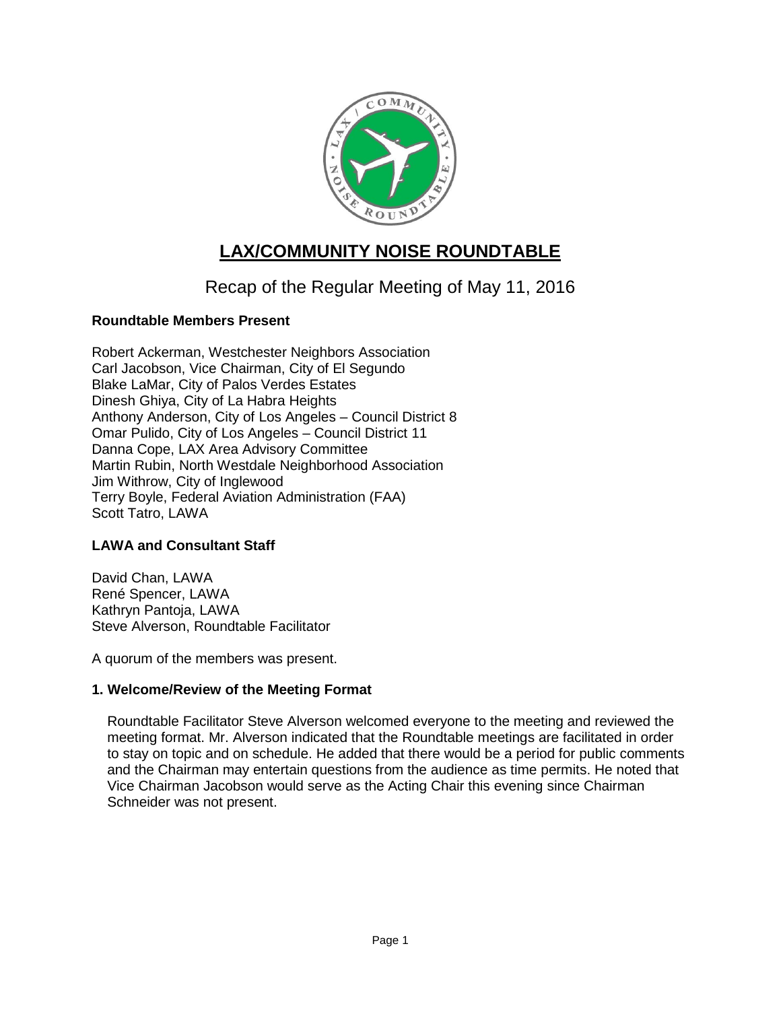

# **LAX/COMMUNITY NOISE ROUNDTABLE**

Recap of the Regular Meeting of May 11, 2016

# **Roundtable Members Present**

Robert Ackerman, Westchester Neighbors Association Carl Jacobson, Vice Chairman, City of El Segundo Blake LaMar, City of Palos Verdes Estates Dinesh Ghiya, City of La Habra Heights Anthony Anderson, City of Los Angeles – Council District 8 Omar Pulido, City of Los Angeles – Council District 11 Danna Cope, LAX Area Advisory Committee Martin Rubin, North Westdale Neighborhood Association Jim Withrow, City of Inglewood Terry Boyle, Federal Aviation Administration (FAA) Scott Tatro, LAWA

# **LAWA and Consultant Staff**

David Chan, LAWA René Spencer, LAWA Kathryn Pantoja, LAWA Steve Alverson, Roundtable Facilitator

A quorum of the members was present.

# **1. Welcome/Review of the Meeting Format**

Roundtable Facilitator Steve Alverson welcomed everyone to the meeting and reviewed the meeting format. Mr. Alverson indicated that the Roundtable meetings are facilitated in order to stay on topic and on schedule. He added that there would be a period for public comments and the Chairman may entertain questions from the audience as time permits. He noted that Vice Chairman Jacobson would serve as the Acting Chair this evening since Chairman Schneider was not present.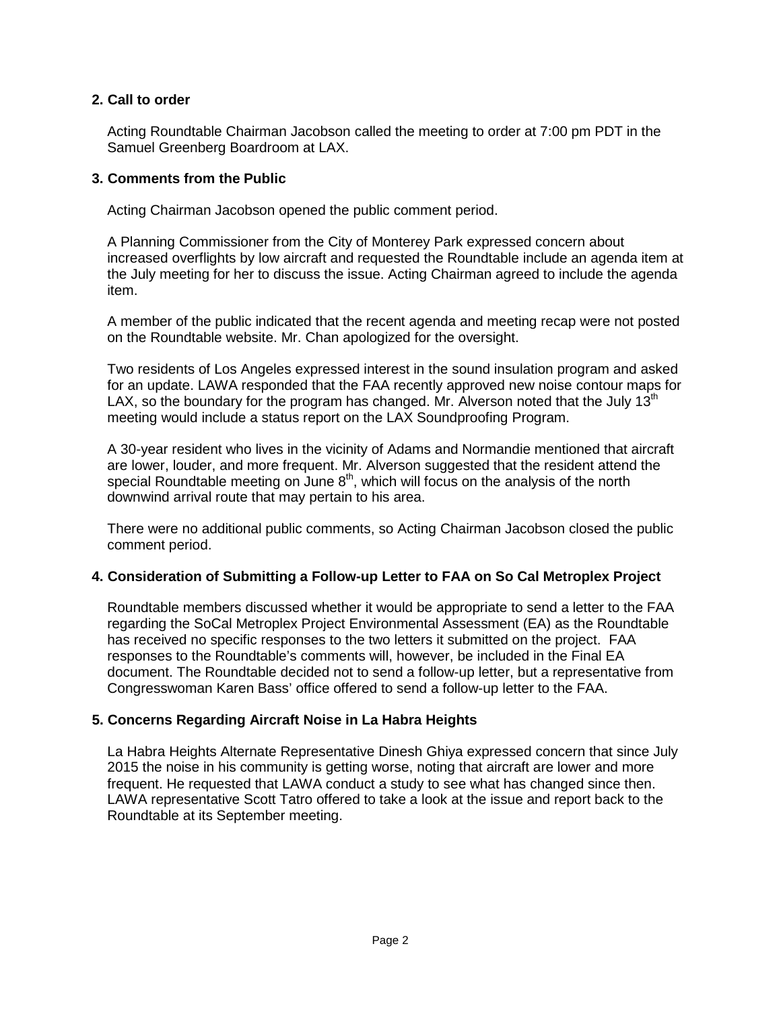## **2. Call to order**

Acting Roundtable Chairman Jacobson called the meeting to order at 7:00 pm PDT in the Samuel Greenberg Boardroom at LAX.

## **3. Comments from the Public**

Acting Chairman Jacobson opened the public comment period.

A Planning Commissioner from the City of Monterey Park expressed concern about increased overflights by low aircraft and requested the Roundtable include an agenda item at the July meeting for her to discuss the issue. Acting Chairman agreed to include the agenda item.

A member of the public indicated that the recent agenda and meeting recap were not posted on the Roundtable website. Mr. Chan apologized for the oversight.

Two residents of Los Angeles expressed interest in the sound insulation program and asked for an update. LAWA responded that the FAA recently approved new noise contour maps for LAX, so the boundary for the program has changed. Mr. Alverson noted that the July  $13<sup>th</sup>$ meeting would include a status report on the LAX Soundproofing Program.

A 30-year resident who lives in the vicinity of Adams and Normandie mentioned that aircraft are lower, louder, and more frequent. Mr. Alverson suggested that the resident attend the special Roundtable meeting on June  $8<sup>th</sup>$ , which will focus on the analysis of the north downwind arrival route that may pertain to his area.

There were no additional public comments, so Acting Chairman Jacobson closed the public comment period.

## **4. Consideration of Submitting a Follow-up Letter to FAA on So Cal Metroplex Project**

Roundtable members discussed whether it would be appropriate to send a letter to the FAA regarding the SoCal Metroplex Project Environmental Assessment (EA) as the Roundtable has received no specific responses to the two letters it submitted on the project. FAA responses to the Roundtable's comments will, however, be included in the Final EA document. The Roundtable decided not to send a follow-up letter, but a representative from Congresswoman Karen Bass' office offered to send a follow-up letter to the FAA.

# **5. Concerns Regarding Aircraft Noise in La Habra Heights**

La Habra Heights Alternate Representative Dinesh Ghiya expressed concern that since July 2015 the noise in his community is getting worse, noting that aircraft are lower and more frequent. He requested that LAWA conduct a study to see what has changed since then. LAWA representative Scott Tatro offered to take a look at the issue and report back to the Roundtable at its September meeting.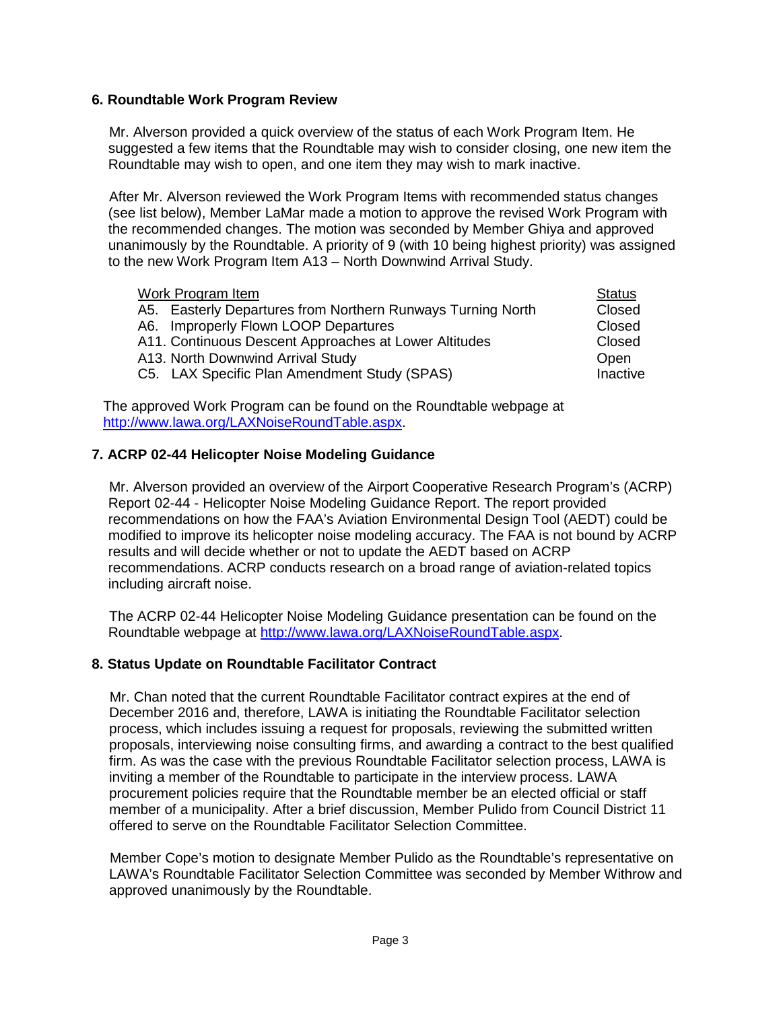## **6. Roundtable Work Program Review**

Mr. Alverson provided a quick overview of the status of each Work Program Item. He suggested a few items that the Roundtable may wish to consider closing, one new item the Roundtable may wish to open, and one item they may wish to mark inactive.

After Mr. Alverson reviewed the Work Program Items with recommended status changes (see list below), Member LaMar made a motion to approve the revised Work Program with the recommended changes. The motion was seconded by Member Ghiya and approved unanimously by the Roundtable. A priority of 9 (with 10 being highest priority) was assigned to the new Work Program Item A13 – North Downwind Arrival Study.

| Work Program Item                                           | <b>Status</b> |
|-------------------------------------------------------------|---------------|
| A5. Easterly Departures from Northern Runways Turning North | Closed        |
| A6. Improperly Flown LOOP Departures                        | Closed        |
| A11. Continuous Descent Approaches at Lower Altitudes       | Closed        |
| A13. North Downwind Arrival Study                           | Open          |
| C5. LAX Specific Plan Amendment Study (SPAS)                | Inactive      |

The approved Work Program can be found on the Roundtable webpage at [http://www.lawa.org/LAXNoiseRoundTable.aspx.](http://www.lawa.org/LAXNoiseRoundTable.aspx)

## **7. ACRP 02-44 Helicopter Noise Modeling Guidance**

Mr. Alverson provided an overview of the Airport Cooperative Research Program's (ACRP) Report 02-44 - Helicopter Noise Modeling Guidance Report. The report provided recommendations on how the FAA's Aviation Environmental Design Tool (AEDT) could be modified to improve its helicopter noise modeling accuracy. The FAA is not bound by ACRP results and will decide whether or not to update the AEDT based on ACRP recommendations. ACRP conducts research on a broad range of aviation-related topics including aircraft noise.

The ACRP 02-44 Helicopter Noise Modeling Guidance presentation can be found on the Roundtable webpage at [http://www.lawa.org/LAXNoiseRoundTable.aspx.](http://www.lawa.org/LAXNoiseRoundTable.aspx)

## **8. Status Update on Roundtable Facilitator Contract**

Mr. Chan noted that the current Roundtable Facilitator contract expires at the end of December 2016 and, therefore, LAWA is initiating the Roundtable Facilitator selection process, which includes issuing a request for proposals, reviewing the submitted written proposals, interviewing noise consulting firms, and awarding a contract to the best qualified firm. As was the case with the previous Roundtable Facilitator selection process, LAWA is inviting a member of the Roundtable to participate in the interview process. LAWA procurement policies require that the Roundtable member be an elected official or staff member of a municipality. After a brief discussion, Member Pulido from Council District 11 offered to serve on the Roundtable Facilitator Selection Committee.

Member Cope's motion to designate Member Pulido as the Roundtable's representative on LAWA's Roundtable Facilitator Selection Committee was seconded by Member Withrow and approved unanimously by the Roundtable.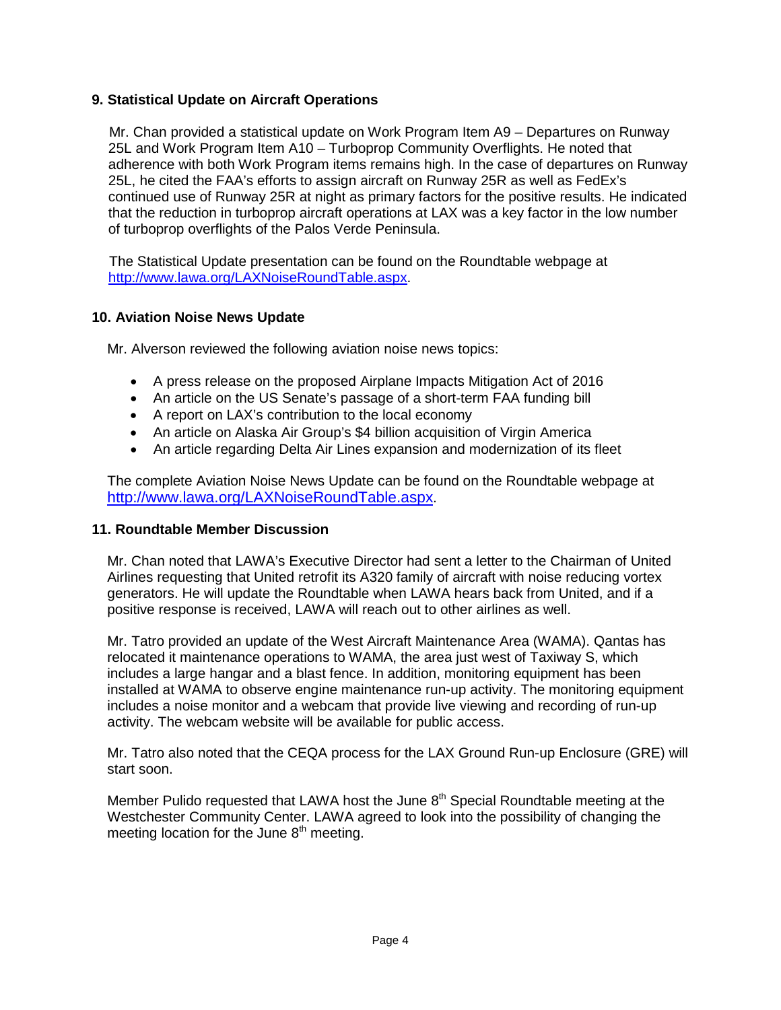## **9. Statistical Update on Aircraft Operations**

Mr. Chan provided a statistical update on Work Program Item A9 – Departures on Runway 25L and Work Program Item A10 – Turboprop Community Overflights. He noted that adherence with both Work Program items remains high. In the case of departures on Runway 25L, he cited the FAA's efforts to assign aircraft on Runway 25R as well as FedEx's continued use of Runway 25R at night as primary factors for the positive results. He indicated that the reduction in turboprop aircraft operations at LAX was a key factor in the low number of turboprop overflights of the Palos Verde Peninsula.

The Statistical Update presentation can be found on the Roundtable webpage at [http://www.lawa.org/LAXNoiseRoundTable.aspx.](http://www.lawa.org/LAXNoiseRoundTable.aspx)

## **10. Aviation Noise News Update**

Mr. Alverson reviewed the following aviation noise news topics:

- A press release on the proposed Airplane Impacts Mitigation Act of 2016
- An article on the US Senate's passage of a short-term FAA funding bill
- A report on LAX's contribution to the local economy
- An article on Alaska Air Group's \$4 billion acquisition of Virgin America
- An article regarding Delta Air Lines expansion and modernization of its fleet

The complete Aviation Noise News Update can be found on the Roundtable webpage at [http://www.lawa.org/LAXNoiseRoundTable.aspx.](http://www.lawa.org/LAXNoiseRoundTable.aspx)

## **11. Roundtable Member Discussion**

Mr. Chan noted that LAWA's Executive Director had sent a letter to the Chairman of United Airlines requesting that United retrofit its A320 family of aircraft with noise reducing vortex generators. He will update the Roundtable when LAWA hears back from United, and if a positive response is received, LAWA will reach out to other airlines as well.

Mr. Tatro provided an update of the West Aircraft Maintenance Area (WAMA). Qantas has relocated it maintenance operations to WAMA, the area just west of Taxiway S, which includes a large hangar and a blast fence. In addition, monitoring equipment has been installed at WAMA to observe engine maintenance run-up activity. The monitoring equipment includes a noise monitor and a webcam that provide live viewing and recording of run-up activity. The webcam website will be available for public access.

Mr. Tatro also noted that the CEQA process for the LAX Ground Run-up Enclosure (GRE) will start soon.

Member Pulido requested that LAWA host the June  $8<sup>th</sup>$  Special Roundtable meeting at the Westchester Community Center. LAWA agreed to look into the possibility of changing the meeting location for the June  $8<sup>th</sup>$  meeting.